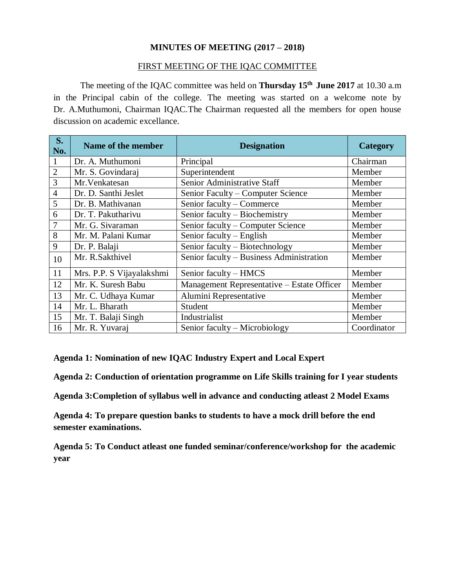## **MINUTES OF MEETING (2017 – 2018)**

#### FIRST MEETING OF THE IQAC COMMITTEE

The meeting of the IQAC committee was held on **Thursday 15 th June 2017** at 10.30 a.m in the Principal cabin of the college. The meeting was started on a welcome note by Dr. A.Muthumoni, Chairman IQAC.The Chairman requested all the members for open house discussion on academic excellance.

| <b>S.</b><br>No. | Name of the member        | <b>Designation</b>                         | <b>Category</b> |
|------------------|---------------------------|--------------------------------------------|-----------------|
| $\mathbf{1}$     | Dr. A. Muthumoni          | Principal                                  | Chairman        |
| $\overline{2}$   | Mr. S. Govindaraj         | Superintendent                             | Member          |
| 3                | Mr. Venkatesan            | Senior Administrative Staff                | Member          |
| $\overline{4}$   | Dr. D. Santhi Jeslet      | Senior Faculty – Computer Science          | Member          |
| 5                | Dr. B. Mathivanan         | Senior faculty - Commerce                  | Member          |
| 6                | Dr. T. Pakutharivu        | Senior faculty - Biochemistry              | Member          |
| 7                | Mr. G. Sivaraman          | Senior faculty – Computer Science          | Member          |
| 8                | Mr. M. Palani Kumar       | Senior faculty – English                   | Member          |
| 9                | Dr. P. Balaji             | Senior faculty – Biotechnology             | Member          |
| 10               | Mr. R.Sakthivel           | Senior faculty - Business Administration   | Member          |
| 11               | Mrs. P.P. S Vijayalakshmi | Senior faculty - HMCS                      | Member          |
| 12               | Mr. K. Suresh Babu        | Management Representative - Estate Officer | Member          |
| 13               | Mr. C. Udhaya Kumar       | Alumini Representative                     | Member          |
| 14               | Mr. L. Bharath            | Student                                    | Member          |
| 15               | Mr. T. Balaji Singh       | Industrialist                              | Member          |
| 16               | Mr. R. Yuvaraj            | Senior faculty – Microbiology              | Coordinator     |

**Agenda 1: Nomination of new IQAC Industry Expert and Local Expert** 

**Agenda 2: Conduction of orientation programme on Life Skills training for I year students**

**Agenda 3:Completion of syllabus well in advance and conducting atleast 2 Model Exams**

**Agenda 4: To prepare question banks to students to have a mock drill before the end semester examinations.**

**Agenda 5: To Conduct atleast one funded seminar/conference/workshop for the academic year**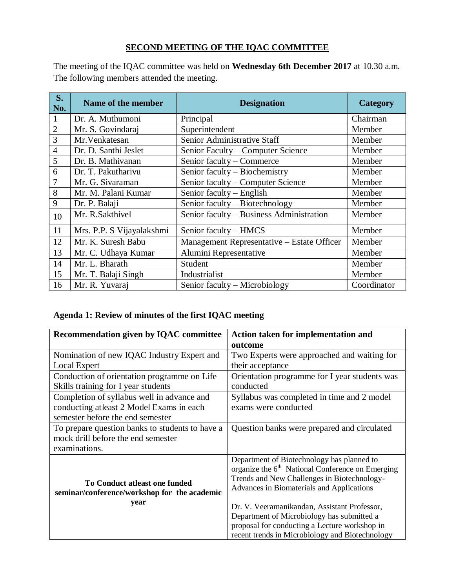# **SECOND MEETING OF THE IQAC COMMITTEE**

The meeting of the IQAC committee was held on **Wednesday 6th December 2017** at 10.30 a.m. The following members attended the meeting.

| S.<br>No.      | Name of the member        | <b>Designation</b>                         | Category    |
|----------------|---------------------------|--------------------------------------------|-------------|
| $\mathbf{1}$   | Dr. A. Muthumoni          | Principal                                  | Chairman    |
| $\overline{2}$ | Mr. S. Govindaraj         | Superintendent                             | Member      |
| 3              | Mr. Venkatesan            | Senior Administrative Staff                | Member      |
| $\overline{4}$ | Dr. D. Santhi Jeslet      | Senior Faculty - Computer Science          | Member      |
| 5              | Dr. B. Mathivanan         | Senior faculty - Commerce                  | Member      |
| 6              | Dr. T. Pakutharivu        | Senior faculty – Biochemistry              | Member      |
| 7              | Mr. G. Sivaraman          | Senior faculty – Computer Science          | Member      |
| 8              | Mr. M. Palani Kumar       | Senior faculty – English                   | Member      |
| 9              | Dr. P. Balaji             | Senior faculty - Biotechnology             | Member      |
| 10             | Mr. R.Sakthivel           | Senior faculty - Business Administration   | Member      |
| 11             | Mrs. P.P. S Vijayalakshmi | Senior faculty – HMCS                      | Member      |
| 12             | Mr. K. Suresh Babu        | Management Representative - Estate Officer | Member      |
| 13             | Mr. C. Udhaya Kumar       | Alumini Representative                     | Member      |
| 14             | Mr. L. Bharath            | Student                                    | Member      |
| 15             | Mr. T. Balaji Singh       | Industrialist                              | Member      |
| 16             | Mr. R. Yuvaraj            | Senior faculty – Microbiology              | Coordinator |

# **Agenda 1: Review of minutes of the first IQAC meeting**

| <b>Recommendation given by IQAC committee</b>                                 | Action taken for implementation and                                                                                                                                                          |  |
|-------------------------------------------------------------------------------|----------------------------------------------------------------------------------------------------------------------------------------------------------------------------------------------|--|
|                                                                               | outcome                                                                                                                                                                                      |  |
| Nomination of new IQAC Industry Expert and                                    | Two Experts were approached and waiting for                                                                                                                                                  |  |
| Local Expert                                                                  | their acceptance                                                                                                                                                                             |  |
| Conduction of orientation programme on Life                                   | Orientation programme for I year students was                                                                                                                                                |  |
| Skills training for I year students                                           | conducted                                                                                                                                                                                    |  |
| Completion of syllabus well in advance and                                    | Syllabus was completed in time and 2 model                                                                                                                                                   |  |
| conducting atleast 2 Model Exams in each                                      | exams were conducted                                                                                                                                                                         |  |
| semester before the end semester                                              |                                                                                                                                                                                              |  |
| To prepare question banks to students to have a                               | Question banks were prepared and circulated                                                                                                                                                  |  |
| mock drill before the end semester                                            |                                                                                                                                                                                              |  |
| examinations.                                                                 |                                                                                                                                                                                              |  |
| To Conduct atleast one funded<br>seminar/conference/workshop for the academic | Department of Biotechnology has planned to<br>organize the $6th$ National Conference on Emerging<br>Trends and New Challenges in Biotechnology-<br>Advances in Biomaterials and Applications |  |
| year                                                                          | Dr. V. Veeramanikandan, Assistant Professor,<br>Department of Microbiology has submitted a                                                                                                   |  |
|                                                                               | proposal for conducting a Lecture workshop in<br>recent trends in Microbiology and Biotechnology                                                                                             |  |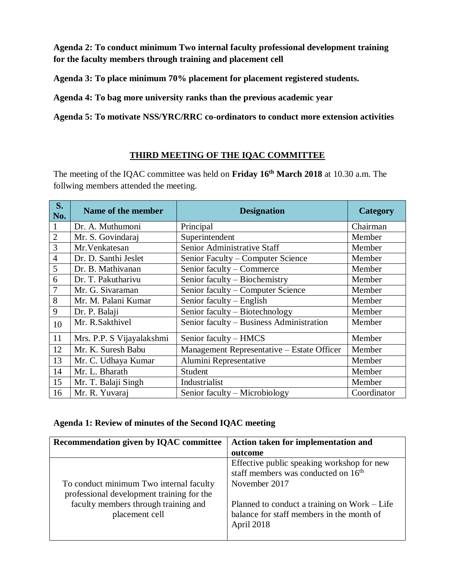**Agenda 2: To conduct minimum Two internal faculty professional development training for the faculty members through training and placement cell** 

**Agenda 3: To place minimum 70% placement for placement registered students.**

**Agenda 4: To bag more university ranks than the previous academic year** 

**Agenda 5: To motivate NSS/YRC/RRC co-ordinators to conduct more extension activities**

# **THIRD MEETING OF THE IQAC COMMITTEE**

The meeting of the IQAC committee was held on **Friday 16th March 2018** at 10.30 a.m. The follwing members attended the meeting.

| <b>S.</b><br>No. | Name of the member        | <b>Designation</b>                         | Category    |
|------------------|---------------------------|--------------------------------------------|-------------|
| $\mathbf{1}$     | Dr. A. Muthumoni          | Principal                                  | Chairman    |
| $\overline{2}$   | Mr. S. Govindaraj         | Superintendent                             | Member      |
| 3                | Mr. Venkatesan            | Senior Administrative Staff                | Member      |
| $\overline{4}$   | Dr. D. Santhi Jeslet      | Senior Faculty – Computer Science          | Member      |
| 5                | Dr. B. Mathivanan         | Senior faculty - Commerce                  | Member      |
| 6                | Dr. T. Pakutharivu        | Senior faculty – Biochemistry              | Member      |
| 7                | Mr. G. Sivaraman          | Senior faculty – Computer Science          | Member      |
| 8                | Mr. M. Palani Kumar       | Senior faculty – English                   | Member      |
| 9                | Dr. P. Balaji             | Senior faculty - Biotechnology             | Member      |
| 10               | Mr. R.Sakthivel           | Senior faculty - Business Administration   | Member      |
| 11               | Mrs. P.P. S Vijayalakshmi | Senior faculty - HMCS                      | Member      |
| 12               | Mr. K. Suresh Babu        | Management Representative - Estate Officer | Member      |
| 13               | Mr. C. Udhaya Kumar       | Alumini Representative                     | Member      |
| 14               | Mr. L. Bharath            | Student                                    | Member      |
| 15               | Mr. T. Balaji Singh       | Industrialist                              | Member      |
| 16               | Mr. R. Yuvaraj            | Senior faculty – Microbiology              | Coordinator |

### **Agenda 1: Review of minutes of the Second IQAC meeting**

| Recommendation given by IQAC committee    | Action taken for implementation and             |
|-------------------------------------------|-------------------------------------------------|
|                                           | outcome                                         |
|                                           | Effective public speaking workshop for new      |
|                                           | staff members was conducted on 16 <sup>th</sup> |
| To conduct minimum Two internal faculty   | November 2017                                   |
| professional development training for the |                                                 |
| faculty members through training and      | Planned to conduct a training on Work – Life    |
| placement cell                            | balance for staff members in the month of       |
|                                           | April 2018                                      |
|                                           |                                                 |